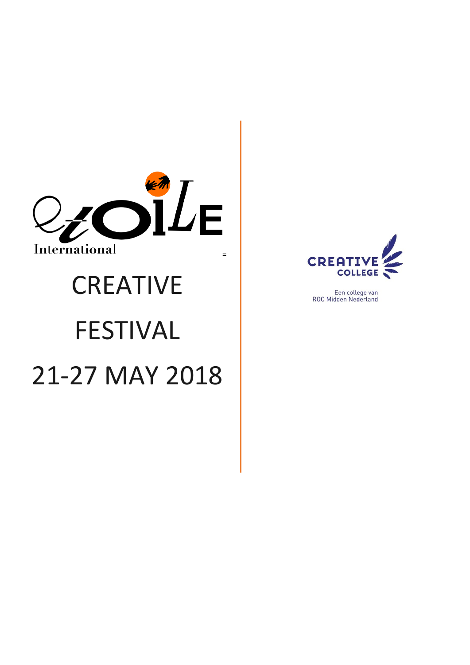

# **CREATIVE** FESTIVAL 21-27 MAY 2018



Een college van ROC Midden Nederland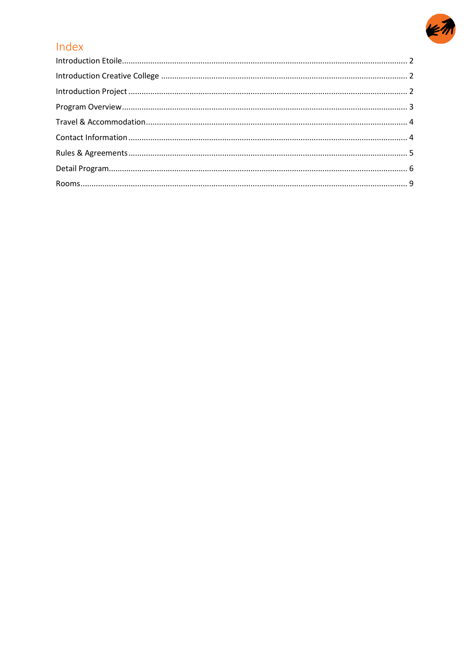

# Index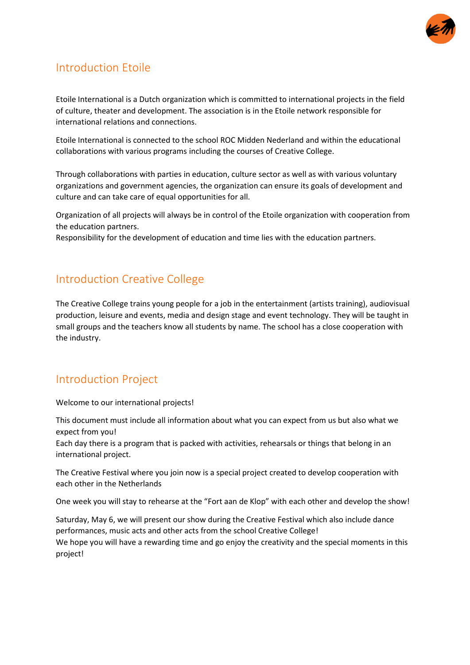

## <span id="page-2-0"></span>Introduction Etoile

Etoile International is a Dutch organization which is committed to international projects in the field of culture, theater and development. The association is in the Etoile network responsible for international relations and connections.

Etoile International is connected to the school ROC Midden Nederland and within the educational collaborations with various programs including the courses of Creative College.

Through collaborations with parties in education, culture sector as well as with various voluntary organizations and government agencies, the organization can ensure its goals of development and culture and can take care of equal opportunities for all.

Organization of all projects will always be in control of the Etoile organization with cooperation from the education partners.

Responsibility for the development of education and time lies with the education partners.

## <span id="page-2-1"></span>Introduction Creative College

The Creative College trains young people for a job in the entertainment (artists training), audiovisual production, leisure and events, media and design stage and event technology. They will be taught in small groups and the teachers know all students by name. The school has a close cooperation with the industry.

## <span id="page-2-2"></span>Introduction Project

Welcome to our international projects!

This document must include all information about what you can expect from us but also what we expect from you!

Each day there is a program that is packed with activities, rehearsals or things that belong in an international project.

The Creative Festival where you join now is a special project created to develop cooperation with each other in the Netherlands

One week you will stay to rehearse at the "Fort aan de Klop" with each other and develop the show!

Saturday, May 6, we will present our show during the Creative Festival which also include dance performances, music acts and other acts from the school Creative College! We hope you will have a rewarding time and go enjoy the creativity and the special moments in this project!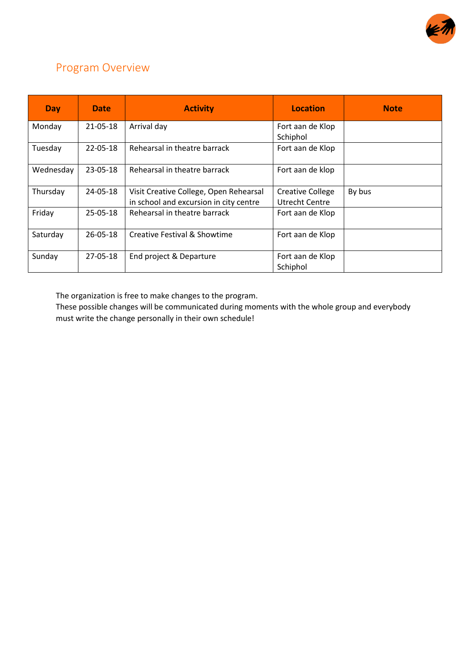

## <span id="page-3-0"></span>Program Overview

| <b>Day</b> | <b>Date</b> | <b>Activity</b>                                                                  | Location                                  | <b>Note</b> |
|------------|-------------|----------------------------------------------------------------------------------|-------------------------------------------|-------------|
| Monday     | 21-05-18    | Arrival day                                                                      | Fort aan de Klop<br>Schiphol              |             |
| Tuesday    | 22-05-18    | Rehearsal in theatre barrack                                                     | Fort aan de Klop                          |             |
| Wednesday  | 23-05-18    | Rehearsal in theatre barrack                                                     | Fort aan de klop                          |             |
| Thursday   | 24-05-18    | Visit Creative College, Open Rehearsal<br>in school and excursion in city centre | <b>Creative College</b><br>Utrecht Centre | By bus      |
| Friday     | 25-05-18    | Rehearsal in theatre barrack                                                     | Fort aan de Klop                          |             |
| Saturday   | 26-05-18    | Creative Festival & Showtime                                                     | Fort aan de Klop                          |             |
| Sunday     | 27-05-18    | End project & Departure                                                          | Fort aan de Klop<br>Schiphol              |             |

The organization is free to make changes to the program.

These possible changes will be communicated during moments with the whole group and everybody must write the change personally in their own schedule!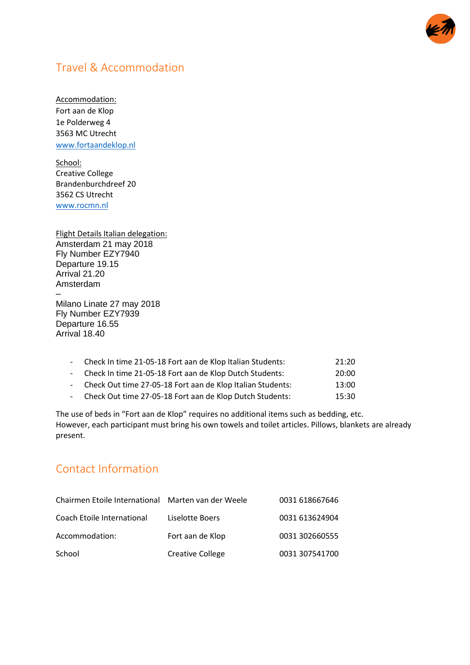

## <span id="page-4-0"></span>Travel & Accommodation

Accommodation: Fort aan de Klop 1e Polderweg 4 3563 MC Utrecht [www.fortaandeklop.nl](http://www.fortaandeklop.nl/)

School: Creative College Brandenburchdreef 20 3562 CS Utrecht [www.rocmn.nl](http://www.rocmn.nl/)

Flight Details Italian delegation: Amsterdam 21 may 2018 Fly Number EZY7940 Departure 19.15 Arrival 21.20 Amsterdam – Milano Linate 27 may 2018 Fly Number EZY7939 Departure 16.55 Arrival 18.40

| - Check In time 21-05-18 Fort aan de Klop Italian Students:  | 21:20 |
|--------------------------------------------------------------|-------|
| - Check In time 21-05-18 Fort aan de Klop Dutch Students:    | 20:00 |
| - Check Out time 27-05-18 Fort aan de Klop Italian Students: | 13:00 |
| - Check Out time 27-05-18 Fort aan de Klop Dutch Students:   | 15:30 |

The use of beds in "Fort aan de Klop" requires no additional items such as bedding, etc. However, each participant must bring his own towels and toilet articles. Pillows, blankets are already present.

## <span id="page-4-1"></span>Contact Information

| Chairmen Etoile International Marten van der Weele |                  | 0031 618667646 |
|----------------------------------------------------|------------------|----------------|
| Coach Etoile International                         | Liselotte Boers  | 0031 613624904 |
| Accommodation:                                     | Fort aan de Klop | 0031 302660555 |
| School                                             | Creative College | 0031 307541700 |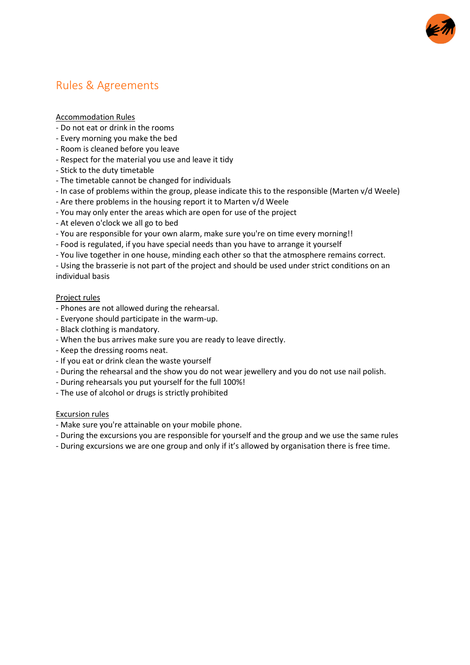

## <span id="page-5-0"></span>Rules & Agreements

#### Accommodation Rules

- Do not eat or drink in the rooms
- Every morning you make the bed
- Room is cleaned before you leave
- Respect for the material you use and leave it tidy
- Stick to the duty timetable
- The timetable cannot be changed for individuals
- In case of problems within the group, please indicate this to the responsible (Marten v/d Weele)
- Are there problems in the housing report it to Marten v/d Weele
- You may only enter the areas which are open for use of the project
- At eleven o'clock we all go to bed
- You are responsible for your own alarm, make sure you're on time every morning!!
- Food is regulated, if you have special needs than you have to arrange it yourself
- You live together in one house, minding each other so that the atmosphere remains correct.

- Using the brasserie is not part of the project and should be used under strict conditions on an individual basis

#### Project rules

- Phones are not allowed during the rehearsal.
- Everyone should participate in the warm-up.
- Black clothing is mandatory.
- When the bus arrives make sure you are ready to leave directly.
- Keep the dressing rooms neat.
- If you eat or drink clean the waste yourself
- During the rehearsal and the show you do not wear jewellery and you do not use nail polish.
- During rehearsals you put yourself for the full 100%!
- The use of alcohol or drugs is strictly prohibited

#### Excursion rules

- Make sure you're attainable on your mobile phone.
- During the excursions you are responsible for yourself and the group and we use the same rules
- During excursions we are one group and only if it's allowed by organisation there is free time.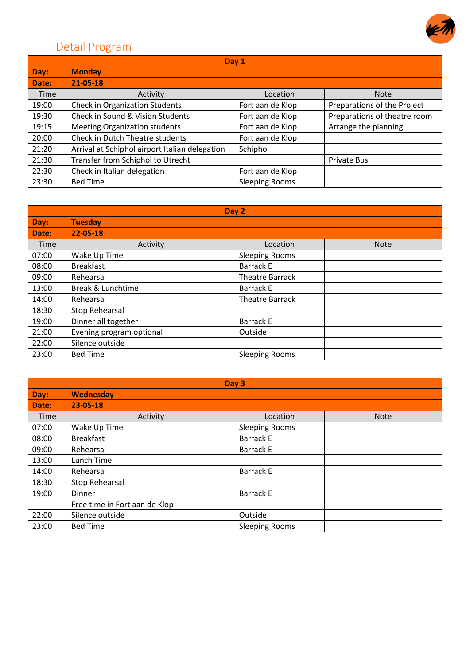

# <span id="page-6-0"></span>Detail Program

| Day 1 |                                                |                       |                              |
|-------|------------------------------------------------|-----------------------|------------------------------|
| Day:  | <b>Monday</b>                                  |                       |                              |
| Date: | $21 - 05 - 18$                                 |                       |                              |
| Time  | Activity                                       | Location              | <b>Note</b>                  |
| 19:00 | <b>Check in Organization Students</b>          | Fort aan de Klop      | Preparations of the Project  |
| 19:30 | Check in Sound & Vision Students               | Fort aan de Klop      | Preparations of theatre room |
| 19:15 | <b>Meeting Organization students</b>           | Fort aan de Klop      | Arrange the planning         |
| 20:00 | Check in Dutch Theatre students                | Fort aan de Klop      |                              |
| 21:20 | Arrival at Schiphol airport Italian delegation | Schiphol              |                              |
| 21:30 | Transfer from Schiphol to Utrecht              |                       | Private Bus                  |
| 22:30 | Check in Italian delegation                    | Fort aan de Klop      |                              |
| 23:30 | <b>Bed Time</b>                                | <b>Sleeping Rooms</b> |                              |

|       | Day 2                    |                         |  |  |
|-------|--------------------------|-------------------------|--|--|
| Day:  | <b>Tuesday</b>           |                         |  |  |
| Date: | 22-05-18                 |                         |  |  |
| Time  | Activity                 | Location<br><b>Note</b> |  |  |
| 07:00 | Wake Up Time             | <b>Sleeping Rooms</b>   |  |  |
| 08:00 | <b>Breakfast</b>         | <b>Barrack E</b>        |  |  |
| 09:00 | Rehearsal                | <b>Theatre Barrack</b>  |  |  |
| 13:00 | Break & Lunchtime        | <b>Barrack E</b>        |  |  |
| 14:00 | Rehearsal                | <b>Theatre Barrack</b>  |  |  |
| 18:30 | Stop Rehearsal           |                         |  |  |
| 19:00 | Dinner all together      | <b>Barrack E</b>        |  |  |
| 21:00 | Evening program optional | Outside                 |  |  |
| 22:00 | Silence outside          |                         |  |  |
| 23:00 | <b>Bed Time</b>          | <b>Sleeping Rooms</b>   |  |  |

| Day 3 |                               |                       |             |
|-------|-------------------------------|-----------------------|-------------|
| Day:  | <b>Wednesday</b>              |                       |             |
| Date: | $23 - 05 - 18$                |                       |             |
| Time  | Activity                      | Location              | <b>Note</b> |
| 07:00 | Wake Up Time                  | <b>Sleeping Rooms</b> |             |
| 08:00 | <b>Breakfast</b>              | <b>Barrack E</b>      |             |
| 09:00 | Rehearsal                     | <b>Barrack E</b>      |             |
| 13:00 | Lunch Time                    |                       |             |
| 14:00 | Rehearsal                     | <b>Barrack E</b>      |             |
| 18:30 | <b>Stop Rehearsal</b>         |                       |             |
| 19:00 | Dinner                        | <b>Barrack E</b>      |             |
|       | Free time in Fort aan de Klop |                       |             |
| 22:00 | Silence outside               | Outside               |             |
| 23:00 | <b>Bed Time</b>               | <b>Sleeping Rooms</b> |             |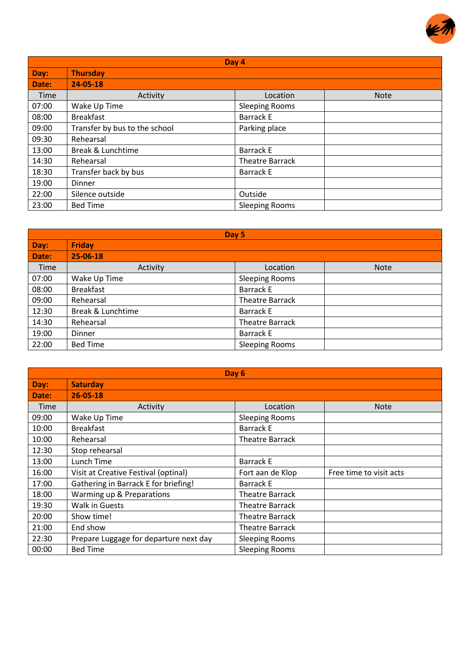

| Day 4 |                               |                        |             |
|-------|-------------------------------|------------------------|-------------|
| Day:  | <b>Thursday</b>               |                        |             |
| Date: | $24 - 05 - 18$                |                        |             |
| Time  | Activity                      | Location               | <b>Note</b> |
| 07:00 | Wake Up Time                  | <b>Sleeping Rooms</b>  |             |
| 08:00 | <b>Breakfast</b>              | <b>Barrack E</b>       |             |
| 09:00 | Transfer by bus to the school | Parking place          |             |
| 09:30 | Rehearsal                     |                        |             |
| 13:00 | Break & Lunchtime             | <b>Barrack E</b>       |             |
| 14:30 | Rehearsal                     | <b>Theatre Barrack</b> |             |
| 18:30 | Transfer back by bus          | <b>Barrack E</b>       |             |
| 19:00 | Dinner                        |                        |             |
| 22:00 | Silence outside               | Outside                |             |
| 23:00 | <b>Bed Time</b>               | <b>Sleeping Rooms</b>  |             |

| Day 5 |                   |                        |             |
|-------|-------------------|------------------------|-------------|
| Day:  | <b>Friday</b>     |                        |             |
| Date: | 25-06-18          |                        |             |
| Time  | Activity          | Location               | <b>Note</b> |
| 07:00 | Wake Up Time      | <b>Sleeping Rooms</b>  |             |
| 08:00 | <b>Breakfast</b>  | <b>Barrack E</b>       |             |
| 09:00 | Rehearsal         | <b>Theatre Barrack</b> |             |
| 12:30 | Break & Lunchtime | Barrack E              |             |
| 14:30 | Rehearsal         | <b>Theatre Barrack</b> |             |
| 19:00 | Dinner            | Barrack E              |             |
| 22:00 | <b>Bed Time</b>   | <b>Sleeping Rooms</b>  |             |

| Day 6 |                                        |                        |                         |  |
|-------|----------------------------------------|------------------------|-------------------------|--|
| Day:  | <b>Saturday</b>                        |                        |                         |  |
| Date: | $26 - 05 - 18$                         |                        |                         |  |
| Time  | Activity                               | Location               | <b>Note</b>             |  |
| 09:00 | Wake Up Time                           | <b>Sleeping Rooms</b>  |                         |  |
| 10:00 | <b>Breakfast</b>                       | <b>Barrack E</b>       |                         |  |
| 10:00 | Rehearsal                              | <b>Theatre Barrack</b> |                         |  |
| 12:30 | Stop rehearsal                         |                        |                         |  |
| 13:00 | Lunch Time                             | <b>Barrack E</b>       |                         |  |
| 16:00 | Visit at Creative Festival (optinal)   | Fort aan de Klop       | Free time to visit acts |  |
| 17:00 | Gathering in Barrack E for briefing!   | <b>Barrack E</b>       |                         |  |
| 18:00 | Warming up & Preparations              | <b>Theatre Barrack</b> |                         |  |
| 19:30 | <b>Walk in Guests</b>                  | <b>Theatre Barrack</b> |                         |  |
| 20:00 | Show time!                             | <b>Theatre Barrack</b> |                         |  |
| 21:00 | End show                               | <b>Theatre Barrack</b> |                         |  |
| 22:30 | Prepare Luggage for departure next day | <b>Sleeping Rooms</b>  |                         |  |
| 00:00 | <b>Bed Time</b>                        | <b>Sleeping Rooms</b>  |                         |  |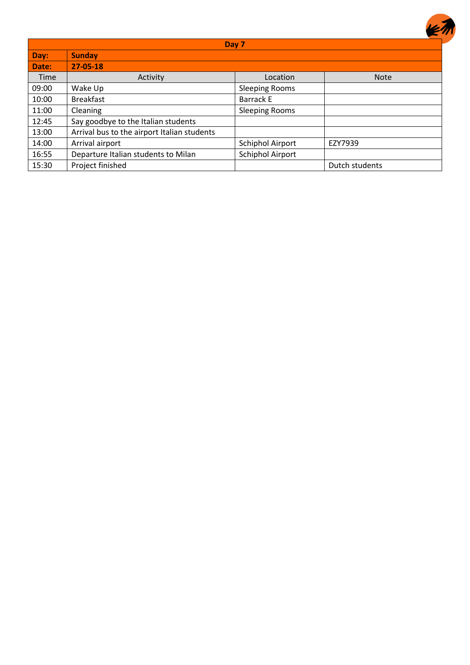|       |                                             | Day 7                   |                |
|-------|---------------------------------------------|-------------------------|----------------|
| Day:  | <b>Sunday</b>                               |                         |                |
| Date: | $27 - 05 - 18$                              |                         |                |
| Time  | Activity                                    | Location                | <b>Note</b>    |
| 09:00 | Wake Up                                     | <b>Sleeping Rooms</b>   |                |
| 10:00 | <b>Breakfast</b>                            | <b>Barrack E</b>        |                |
| 11:00 | Cleaning                                    | <b>Sleeping Rooms</b>   |                |
| 12:45 | Say goodbye to the Italian students         |                         |                |
| 13:00 | Arrival bus to the airport Italian students |                         |                |
| 14:00 | Arrival airport                             | Schiphol Airport        | EZY7939        |
| 16:55 | Departure Italian students to Milan         | <b>Schiphol Airport</b> |                |
| 15:30 | Project finished                            |                         | Dutch students |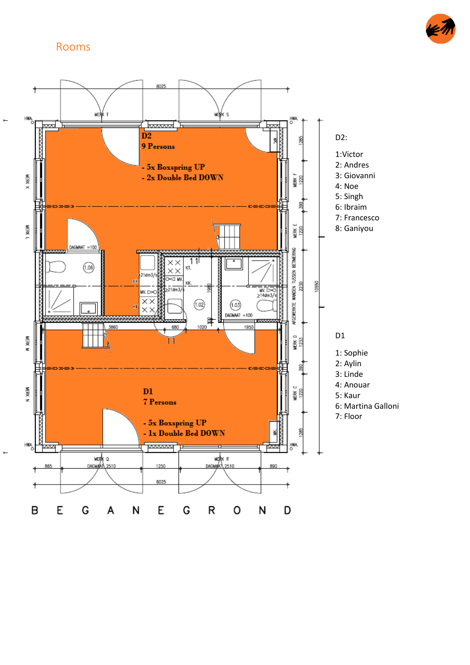#### <span id="page-9-0"></span>Rooms



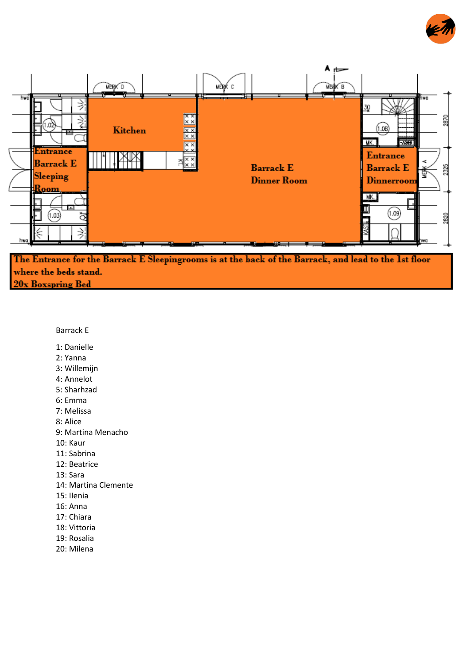



The Entrance for the Barrack E Sleepingrooms is at the back of the Barrack, and lead to the 1st floor where the beds stand. 20x Boxspring Bed

#### Barrack E

- 1: Danielle
- 2: Yanna
- 3: Willemijn
- 4: Annelot
- 5: Sharhzad
- 6: Emma
- 7: Melissa

8: Alice

- 9: Martina Menacho
- 10: Kaur
- 11: Sabrina
- 12: Beatrice
- 13: Sara
- 14: Martina Clemente
- 15: IIenia
- 16: Anna
- 17: Chiara
- 18: Vittoria
- 19: Rosalia
- 20: Milena